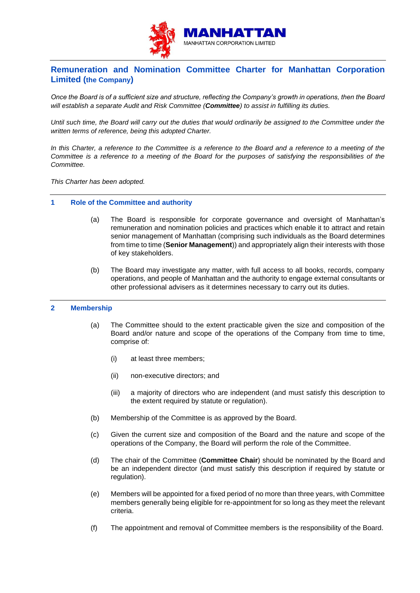

# **Remuneration and Nomination Committee Charter for Manhattan Corporation Limited (the Company)**

*Once the Board is of a sufficient size and structure, reflecting the Company's growth in operations, then the Board will establish a separate Audit and Risk Committee (Committee) to assist in fulfilling its duties.*

*Until such time, the Board will carry out the duties that would ordinarily be assigned to the Committee under the written terms of reference, being this adopted Charter.*

*In this Charter, a reference to the Committee is a reference to the Board and a reference to a meeting of the Committee is a reference to a meeting of the Board for the purposes of satisfying the responsibilities of the Committee.*

*This Charter has been adopted.*

# **1 Role of the Committee and authority**

- (a) The Board is responsible for corporate governance and oversight of Manhattan's remuneration and nomination policies and practices which enable it to attract and retain senior management of Manhattan (comprising such individuals as the Board determines from time to time (**Senior Management**)) and appropriately align their interests with those of key stakeholders.
- (b) The Board may investigate any matter, with full access to all books, records, company operations, and people of Manhattan and the authority to engage external consultants or other professional advisers as it determines necessary to carry out its duties.

# **2 Membership**

- (a) The Committee should to the extent practicable given the size and composition of the Board and/or nature and scope of the operations of the Company from time to time, comprise of:
	- (i) at least three members;
	- (ii) non-executive directors; and
	- (iii) a majority of directors who are independent (and must satisfy this description to the extent required by statute or regulation).
- (b) Membership of the Committee is as approved by the Board.
- (c) Given the current size and composition of the Board and the nature and scope of the operations of the Company, the Board will perform the role of the Committee.
- (d) The chair of the Committee (**Committee Chair**) should be nominated by the Board and be an independent director (and must satisfy this description if required by statute or regulation).
- (e) Members will be appointed for a fixed period of no more than three years, with Committee members generally being eligible for re-appointment for so long as they meet the relevant criteria.
- (f) The appointment and removal of Committee members is the responsibility of the Board.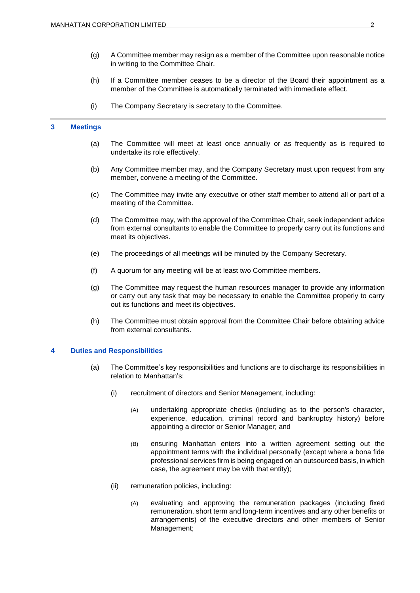- (g) A Committee member may resign as a member of the Committee upon reasonable notice in writing to the Committee Chair.
- (h) If a Committee member ceases to be a director of the Board their appointment as a member of the Committee is automatically terminated with immediate effect.
- (i) The Company Secretary is secretary to the Committee.

# **3 Meetings**

- (a) The Committee will meet at least once annually or as frequently as is required to undertake its role effectively.
- (b) Any Committee member may, and the Company Secretary must upon request from any member, convene a meeting of the Committee.
- (c) The Committee may invite any executive or other staff member to attend all or part of a meeting of the Committee.
- (d) The Committee may, with the approval of the Committee Chair, seek independent advice from external consultants to enable the Committee to properly carry out its functions and meet its objectives.
- (e) The proceedings of all meetings will be minuted by the Company Secretary.
- (f) A quorum for any meeting will be at least two Committee members.
- (g) The Committee may request the human resources manager to provide any information or carry out any task that may be necessary to enable the Committee properly to carry out its functions and meet its objectives.
- (h) The Committee must obtain approval from the Committee Chair before obtaining advice from external consultants.

# **4 Duties and Responsibilities**

- (a) The Committee's key responsibilities and functions are to discharge its responsibilities in relation to Manhattan's:
	- (i) recruitment of directors and Senior Management, including:
		- (A) undertaking appropriate checks (including as to the person's character, experience, education, criminal record and bankruptcy history) before appointing a director or Senior Manager; and
		- (B) ensuring Manhattan enters into a written agreement setting out the appointment terms with the individual personally (except where a bona fide professional services firm is being engaged on an outsourced basis, in which case, the agreement may be with that entity);
	- (ii) remuneration policies, including:
		- (A) evaluating and approving the remuneration packages (including fixed remuneration, short term and long-term incentives and any other benefits or arrangements) of the executive directors and other members of Senior Management;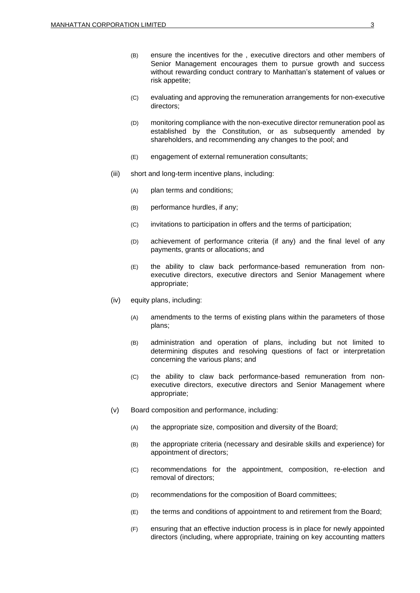- (B) ensure the incentives for the , executive directors and other members of Senior Management encourages them to pursue growth and success without rewarding conduct contrary to Manhattan's statement of values or risk appetite;
- (C) evaluating and approving the remuneration arrangements for non-executive directors;
- (D) monitoring compliance with the non-executive director remuneration pool as established by the Constitution, or as subsequently amended by shareholders, and recommending any changes to the pool; and
- (E) engagement of external remuneration consultants;
- (iii) short and long-term incentive plans, including:
	- (A) plan terms and conditions;
	- (B) performance hurdles, if any;
	- (C) invitations to participation in offers and the terms of participation;
	- (D) achievement of performance criteria (if any) and the final level of any payments, grants or allocations; and
	- (E) the ability to claw back performance-based remuneration from nonexecutive directors, executive directors and Senior Management where appropriate;
- (iv) equity plans, including:
	- (A) amendments to the terms of existing plans within the parameters of those plans;
	- (B) administration and operation of plans, including but not limited to determining disputes and resolving questions of fact or interpretation concerning the various plans; and
	- (C) the ability to claw back performance-based remuneration from nonexecutive directors, executive directors and Senior Management where appropriate;
- (v) Board composition and performance, including:
	- (A) the appropriate size, composition and diversity of the Board;
	- (B) the appropriate criteria (necessary and desirable skills and experience) for appointment of directors;
	- (C) recommendations for the appointment, composition, re-election and removal of directors;
	- (D) recommendations for the composition of Board committees;
	- (E) the terms and conditions of appointment to and retirement from the Board;
	- (F) ensuring that an effective induction process is in place for newly appointed directors (including, where appropriate, training on key accounting matters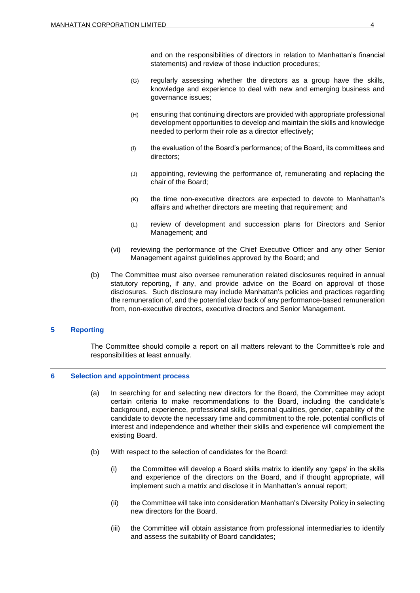and on the responsibilities of directors in relation to Manhattan's financial statements) and review of those induction procedures;

- (G) regularly assessing whether the directors as a group have the skills, knowledge and experience to deal with new and emerging business and governance issues;
- (H) ensuring that continuing directors are provided with appropriate professional development opportunities to develop and maintain the skills and knowledge needed to perform their role as a director effectively;
- (I) the evaluation of the Board's performance; of the Board, its committees and directors;
- (J) appointing, reviewing the performance of, remunerating and replacing the chair of the Board;
- (K) the time non-executive directors are expected to devote to Manhattan's affairs and whether directors are meeting that requirement; and
- (L) review of development and succession plans for Directors and Senior Management; and
- (vi) reviewing the performance of the Chief Executive Officer and any other Senior Management against guidelines approved by the Board; and
- (b) The Committee must also oversee remuneration related disclosures required in annual statutory reporting, if any, and provide advice on the Board on approval of those disclosures. Such disclosure may include Manhattan's policies and practices regarding the remuneration of, and the potential claw back of any performance-based remuneration from, non-executive directors, executive directors and Senior Management.

# **5 Reporting**

The Committee should compile a report on all matters relevant to the Committee's role and responsibilities at least annually.

#### **6 Selection and appointment process**

- (a) In searching for and selecting new directors for the Board, the Committee may adopt certain criteria to make recommendations to the Board, including the candidate's background, experience, professional skills, personal qualities, gender, capability of the candidate to devote the necessary time and commitment to the role, potential conflicts of interest and independence and whether their skills and experience will complement the existing Board.
- (b) With respect to the selection of candidates for the Board:
	- (i) the Committee will develop a Board skills matrix to identify any 'gaps' in the skills and experience of the directors on the Board, and if thought appropriate, will implement such a matrix and disclose it in Manhattan's annual report;
	- (ii) the Committee will take into consideration Manhattan's Diversity Policy in selecting new directors for the Board.
	- (iii) the Committee will obtain assistance from professional intermediaries to identify and assess the suitability of Board candidates;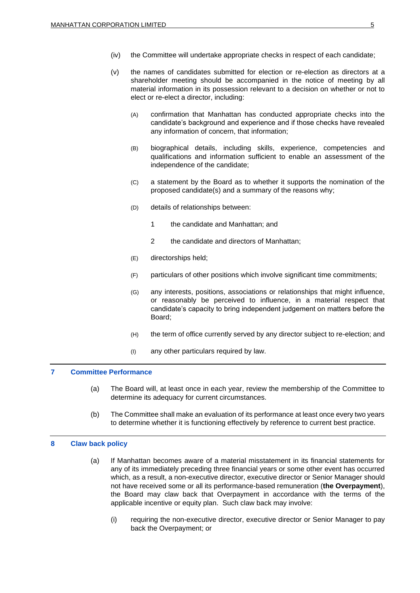- (iv) the Committee will undertake appropriate checks in respect of each candidate;
- (v) the names of candidates submitted for election or re-election as directors at a shareholder meeting should be accompanied in the notice of meeting by all material information in its possession relevant to a decision on whether or not to elect or re-elect a director, including:
	- (A) confirmation that Manhattan has conducted appropriate checks into the candidate's background and experience and if those checks have revealed any information of concern, that information;
	- (B) biographical details, including skills, experience, competencies and qualifications and information sufficient to enable an assessment of the independence of the candidate;
	- (C) a statement by the Board as to whether it supports the nomination of the proposed candidate(s) and a summary of the reasons why;
	- (D) details of relationships between:
		- 1 the candidate and Manhattan; and
		- 2 the candidate and directors of Manhattan;
	- (E) directorships held;
	- (F) particulars of other positions which involve significant time commitments;
	- (G) any interests, positions, associations or relationships that might influence, or reasonably be perceived to influence, in a material respect that candidate's capacity to bring independent judgement on matters before the Board;
	- (H) the term of office currently served by any director subject to re-election; and
	- (I) any other particulars required by law.

# **7 Committee Performance**

- (a) The Board will, at least once in each year, review the membership of the Committee to determine its adequacy for current circumstances.
- (b) The Committee shall make an evaluation of its performance at least once every two years to determine whether it is functioning effectively by reference to current best practice.

#### **8 Claw back policy**

- (a) If Manhattan becomes aware of a material misstatement in its financial statements for any of its immediately preceding three financial years or some other event has occurred which, as a result, a non-executive director, executive director or Senior Manager should not have received some or all its performance-based remuneration (**the Overpayment**), the Board may claw back that Overpayment in accordance with the terms of the applicable incentive or equity plan. Such claw back may involve:
	- (i) requiring the non-executive director, executive director or Senior Manager to pay back the Overpayment; or